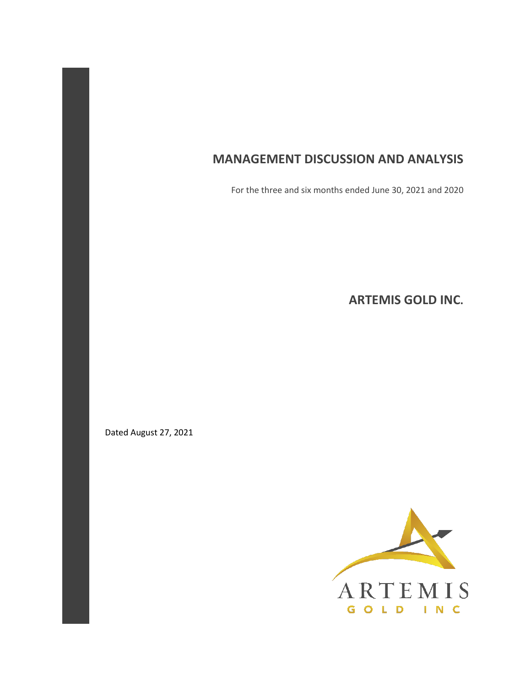# **MANAGEMENT DISCUSSION AND ANALYSIS**

For the three and six months ended June 30, 2021 and 2020

**ARTEMIS GOLD INC.** 

Dated August 27, 2021

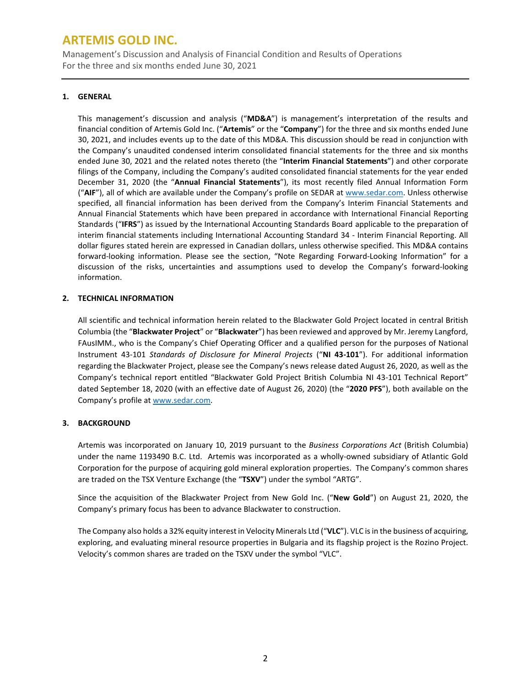Management's Discussion and Analysis of Financial Condition and Results of Operations For the three and six months ended June 30, 2021

## **1. GENERAL**

This management's discussion and analysis ("**MD&A**") is management's interpretation of the results and financial condition of Artemis Gold Inc. ("**Artemis**" or the "**Company**") for the three and six months ended June 30, 2021, and includes events up to the date of this MD&A. This discussion should be read in conjunction with the Company's unaudited condensed interim consolidated financial statements for the three and six months ended June 30, 2021 and the related notes thereto (the "**Interim Financial Statements**") and other corporate filings of the Company, including the Company's audited consolidated financial statements for the year ended December 31, 2020 (the "**Annual Financial Statements**"), its most recently filed Annual Information Form ("**AIF**"), all of which are available under the Company's profile on SEDAR a[t www.sedar.com.](http://www.sedar.com/) Unless otherwise specified, all financial information has been derived from the Company's Interim Financial Statements and Annual Financial Statements which have been prepared in accordance with International Financial Reporting Standards ("**IFRS**") as issued by the International Accounting Standards Board applicable to the preparation of interim financial statements including International Accounting Standard 34 - Interim Financial Reporting. All dollar figures stated herein are expressed in Canadian dollars, unless otherwise specified. This MD&A contains forward-looking information. Please see the section, "Note Regarding Forward-Looking Information" for a discussion of the risks, uncertainties and assumptions used to develop the Company's forward-looking information.

## **2. TECHNICAL INFORMATION**

All scientific and technical information herein related to the Blackwater Gold Project located in central British Columbia (the "**Blackwater Project**" or "**Blackwater**") has been reviewed and approved by Mr. Jeremy Langford, FAusIMM., who is the Company's Chief Operating Officer and a qualified person for the purposes of National Instrument 43-101 *Standards of Disclosure for Mineral Projects* ("**NI 43-101**"). For additional information regarding the Blackwater Project, please see the Company's news release dated August 26, 2020, as well as the Company's technical report entitled "Blackwater Gold Project British Columbia NI 43-101 Technical Report" dated September 18, 2020 (with an effective date of August 26, 2020) (the "**2020 PFS**"), both available on the Company's profile a[t www.sedar.com.](http://www.sedar.com/)

## **3. BACKGROUND**

Artemis was incorporated on January 10, 2019 pursuant to the *Business Corporations Act* (British Columbia) under the name 1193490 B.C. Ltd. Artemis was incorporated as a wholly-owned subsidiary of Atlantic Gold Corporation for the purpose of acquiring gold mineral exploration properties. The Company's common shares are traded on the TSX Venture Exchange (the "**TSXV**") under the symbol "ARTG".

Since the acquisition of the Blackwater Project from New Gold Inc. ("**New Gold**") on August 21, 2020, the Company's primary focus has been to advance Blackwater to construction.

The Company also holds a 32% equity interest in Velocity Minerals Ltd ("**VLC**"). VLC is in the business of acquiring, exploring, and evaluating mineral resource properties in Bulgaria and its flagship project is the Rozino Project. Velocity's common shares are traded on the TSXV under the symbol "VLC".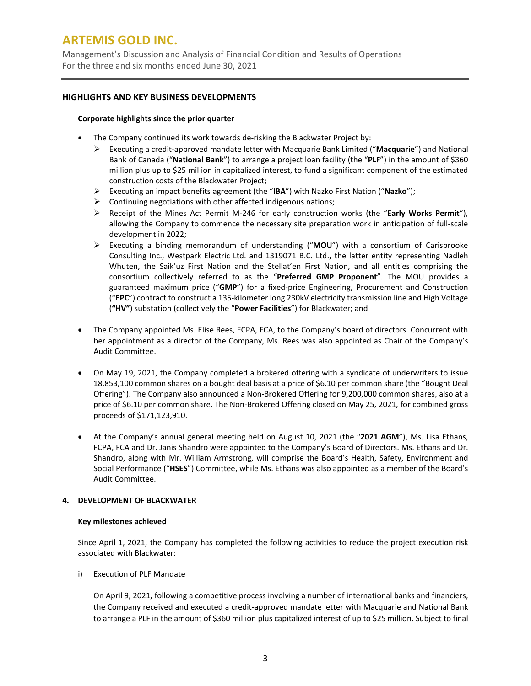Management's Discussion and Analysis of Financial Condition and Results of Operations For the three and six months ended June 30, 2021

## **HIGHLIGHTS AND KEY BUSINESS DEVELOPMENTS**

### **Corporate highlights since the prior quarter**

- The Company continued its work towards de-risking the Blackwater Project by:
	- Executing a credit-approved mandate letter with Macquarie Bank Limited ("**Macquarie**") and National Bank of Canada ("**National Bank**") to arrange a project loan facility (the "**PLF**") in the amount of \$360 million plus up to \$25 million in capitalized interest, to fund a significant component of the estimated construction costs of the Blackwater Project;
	- Executing an impact benefits agreement (the "**IBA**") with Nazko First Nation ("**Nazko**");
	- $\triangleright$  Continuing negotiations with other affected indigenous nations;
	- Receipt of the Mines Act Permit M-246 for early construction works (the "**Early Works Permit**"), allowing the Company to commence the necessary site preparation work in anticipation of full-scale development in 2022;
	- Executing a binding memorandum of understanding ("**MOU**") with a consortium of Carisbrooke Consulting Inc., Westpark Electric Ltd. and 1319071 B.C. Ltd., the latter entity representing Nadleh Whuten, the Saik'uz First Nation and the Stellat'en First Nation, and all entities comprising the consortium collectively referred to as the "**Preferred GMP Proponent**". The MOU provides a guaranteed maximum price ("**GMP**") for a fixed-price Engineering, Procurement and Construction ("**EPC**") contract to construct a 135-kilometer long 230kV electricity transmission line and High Voltage (**"HV"**) substation (collectively the "**Power Facilities**") for Blackwater; and
- The Company appointed Ms. Elise Rees, FCPA, FCA, to the Company's board of directors. Concurrent with her appointment as a director of the Company, Ms. Rees was also appointed as Chair of the Company's Audit Committee.
- On May 19, 2021, the Company completed a brokered offering with a syndicate of underwriters to issue 18,853,100 common shares on a bought deal basis at a price of \$6.10 per common share (the "Bought Deal Offering"). The Company also announced a Non-Brokered Offering for 9,200,000 common shares, also at a price of \$6.10 per common share. The Non-Brokered Offering closed on May 25, 2021, for combined gross proceeds of \$171,123,910.
- At the Company's annual general meeting held on August 10, 2021 (the "**2021 AGM**"), Ms. Lisa Ethans, FCPA, FCA and Dr. Janis Shandro were appointed to the Company's Board of Directors. Ms. Ethans and Dr. Shandro, along with Mr. William Armstrong, will comprise the Board's Health, Safety, Environment and Social Performance ("**HSES**") Committee, while Ms. Ethans was also appointed as a member of the Board's Audit Committee.

## **4. DEVELOPMENT OF BLACKWATER**

### **Key milestones achieved**

Since April 1, 2021, the Company has completed the following activities to reduce the project execution risk associated with Blackwater:

i) Execution of PLF Mandate

On April 9, 2021, following a competitive process involving a number of international banks and financiers, the Company received and executed a credit-approved mandate letter with Macquarie and National Bank to arrange a PLF in the amount of \$360 million plus capitalized interest of up to \$25 million. Subject to final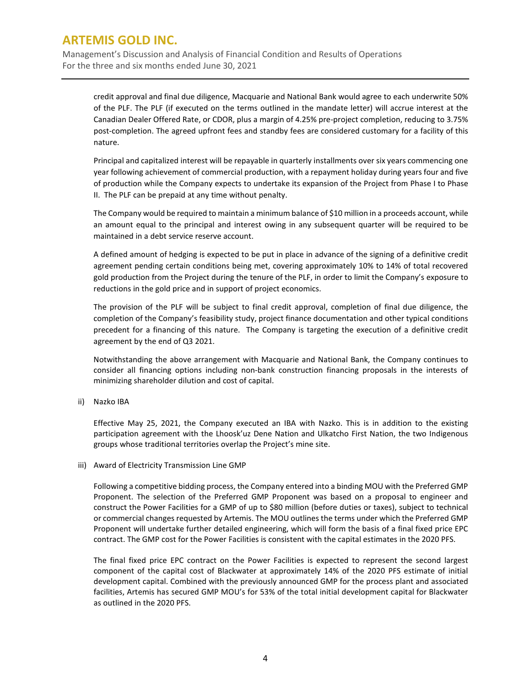Management's Discussion and Analysis of Financial Condition and Results of Operations For the three and six months ended June 30, 2021

credit approval and final due diligence, Macquarie and National Bank would agree to each underwrite 50% of the PLF. The PLF (if executed on the terms outlined in the mandate letter) will accrue interest at the Canadian Dealer Offered Rate, or CDOR, plus a margin of 4.25% pre-project completion, reducing to 3.75% post-completion. The agreed upfront fees and standby fees are considered customary for a facility of this nature.

Principal and capitalized interest will be repayable in quarterly installments over six years commencing one year following achievement of commercial production, with a repayment holiday during years four and five of production while the Company expects to undertake its expansion of the Project from Phase I to Phase II. The PLF can be prepaid at any time without penalty.

The Company would be required to maintain a minimum balance of \$10 million in a proceeds account, while an amount equal to the principal and interest owing in any subsequent quarter will be required to be maintained in a debt service reserve account.

A defined amount of hedging is expected to be put in place in advance of the signing of a definitive credit agreement pending certain conditions being met, covering approximately 10% to 14% of total recovered gold production from the Project during the tenure of the PLF, in order to limit the Company's exposure to reductions in the gold price and in support of project economics.

The provision of the PLF will be subject to final credit approval, completion of final due diligence, the completion of the Company's feasibility study, project finance documentation and other typical conditions precedent for a financing of this nature. The Company is targeting the execution of a definitive credit agreement by the end of Q3 2021.

Notwithstanding the above arrangement with Macquarie and National Bank, the Company continues to consider all financing options including non-bank construction financing proposals in the interests of minimizing shareholder dilution and cost of capital.

ii) Nazko IBA

Effective May 25, 2021, the Company executed an IBA with Nazko. This is in addition to the existing participation agreement with the Lhoosk'uz Dene Nation and Ulkatcho First Nation, the two Indigenous groups whose traditional territories overlap the Project's mine site.

iii) Award of Electricity Transmission Line GMP

Following a competitive bidding process, the Company entered into a binding MOU with the Preferred GMP Proponent. The selection of the Preferred GMP Proponent was based on a proposal to engineer and construct the Power Facilities for a GMP of up to \$80 million (before duties or taxes), subject to technical or commercial changes requested by Artemis. The MOU outlines the terms under which the Preferred GMP Proponent will undertake further detailed engineering, which will form the basis of a final fixed price EPC contract. The GMP cost for the Power Facilities is consistent with the capital estimates in the 2020 PFS.

The final fixed price EPC contract on the Power Facilities is expected to represent the second largest component of the capital cost of Blackwater at approximately 14% of the 2020 PFS estimate of initial development capital. Combined with the previously announced GMP for the process plant and associated facilities, Artemis has secured GMP MOU's for 53% of the total initial development capital for Blackwater as outlined in the 2020 PFS.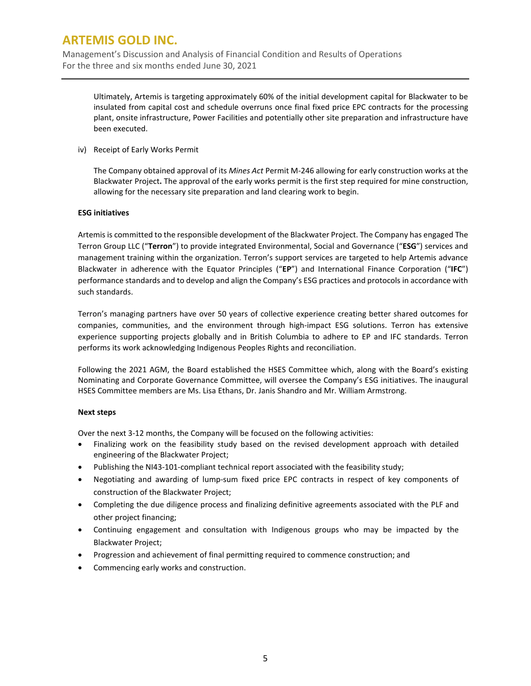Management's Discussion and Analysis of Financial Condition and Results of Operations For the three and six months ended June 30, 2021

Ultimately, Artemis is targeting approximately 60% of the initial development capital for Blackwater to be insulated from capital cost and schedule overruns once final fixed price EPC contracts for the processing plant, onsite infrastructure, Power Facilities and potentially other site preparation and infrastructure have been executed.

iv) Receipt of Early Works Permit

The Company obtained approval of its *Mines Act* Permit M-246 allowing for early construction works at the Blackwater Project**.** The approval of the early works permit is the first step required for mine construction, allowing for the necessary site preparation and land clearing work to begin.

## **ESG initiatives**

Artemis is committed to the responsible development of the Blackwater Project. The Company has engaged The Terron Group LLC ("**Terron**") to provide integrated Environmental, Social and Governance ("**ESG**") services and management training within the organization. Terron's support services are targeted to help Artemis advance Blackwater in adherence with the Equator Principles ("**EP**") and International Finance Corporation ("**IFC**") performance standards and to develop and align the Company's ESG practices and protocols in accordance with such standards.

Terron's managing partners have over 50 years of collective experience creating better shared outcomes for companies, communities, and the environment through high-impact ESG solutions. Terron has extensive experience supporting projects globally and in British Columbia to adhere to EP and IFC standards. Terron performs its work acknowledging Indigenous Peoples Rights and reconciliation.

Following the 2021 AGM, the Board established the HSES Committee which, along with the Board's existing Nominating and Corporate Governance Committee, will oversee the Company's ESG initiatives. The inaugural HSES Committee members are Ms. Lisa Ethans, Dr. Janis Shandro and Mr. William Armstrong.

### **Next steps**

Over the next 3-12 months, the Company will be focused on the following activities:

- Finalizing work on the feasibility study based on the revised development approach with detailed engineering of the Blackwater Project;
- Publishing the NI43-101-compliant technical report associated with the feasibility study;
- Negotiating and awarding of lump-sum fixed price EPC contracts in respect of key components of construction of the Blackwater Project;
- Completing the due diligence process and finalizing definitive agreements associated with the PLF and other project financing;
- Continuing engagement and consultation with Indigenous groups who may be impacted by the Blackwater Project;
- Progression and achievement of final permitting required to commence construction; and
- Commencing early works and construction.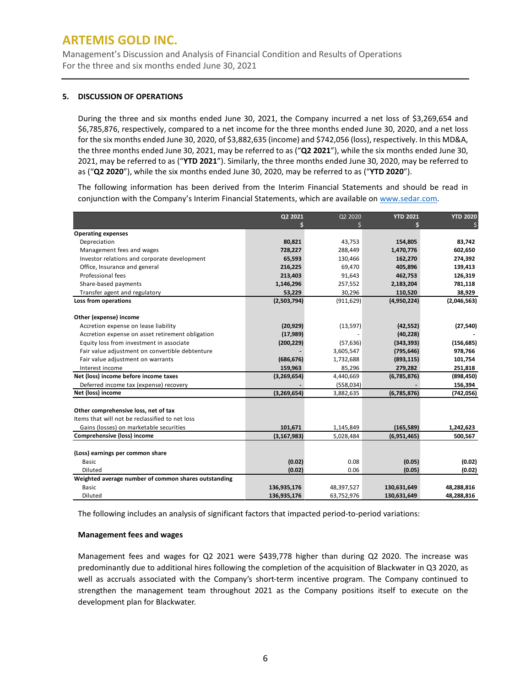Management's Discussion and Analysis of Financial Condition and Results of Operations For the three and six months ended June 30, 2021

### **5. DISCUSSION OF OPERATIONS**

During the three and six months ended June 30, 2021, the Company incurred a net loss of \$3,269,654 and \$6,785,876, respectively, compared to a net income for the three months ended June 30, 2020, and a net loss for the six months ended June 30, 2020, of \$3,882,635 (income) and \$742,056 (loss), respectively. In this MD&A, the three months ended June 30, 2021, may be referred to as ("**Q2 2021**"), while the six months ended June 30, 2021, may be referred to as ("**YTD 2021**"). Similarly, the three months ended June 30, 2020, may be referred to as ("**Q2 2020**"), while the six months ended June 30, 2020, may be referred to as ("**YTD 2020**").

The following information has been derived from the Interim Financial Statements and should be read in conjunction with the Company's Interim Financial Statements, which are available on [www.sedar.com.](http://www.sedar.com/)

|                                                      | Q2 2021       | Q2 2020    | <b>YTD 2021</b> | <b>YTD 2020</b> |
|------------------------------------------------------|---------------|------------|-----------------|-----------------|
|                                                      |               |            |                 |                 |
| <b>Operating expenses</b>                            |               |            |                 |                 |
| Depreciation                                         | 80,821        | 43,753     | 154,805         | 83,742          |
| Management fees and wages                            | 728,227       | 288,449    | 1,470,776       | 602,650         |
| Investor relations and corporate development         | 65,593        | 130,466    | 162,270         | 274,392         |
| Office, Insurance and general                        | 216,225       | 69,470     | 405,896         | 139,413         |
| Professional fees                                    | 213,403       | 91,643     | 462,753         | 126,319         |
| Share-based payments                                 | 1,146,296     | 257,552    | 2,183,204       | 781,118         |
| Transfer agent and regulatory                        | 53,229        | 30,296     | 110,520         | 38,929          |
| Loss from operations                                 | (2,503,794)   | (911, 629) | (4,950,224)     | (2,046,563)     |
| Other (expense) income                               |               |            |                 |                 |
| Accretion expense on lease liability                 | (20, 929)     | (13, 597)  | (42, 552)       | (27, 540)       |
| Accretion expense on asset retirement obligation     | (17,989)      |            | (40, 228)       |                 |
| Equity loss from investment in associate             | (200, 229)    | (57, 636)  | (343, 393)      | (156, 685)      |
| Fair value adjustment on convertible debtenture      |               | 3,605,547  | (795, 646)      | 978,766         |
| Fair value adjustment on warrants                    | (686, 676)    | 1,732,688  | (893, 115)      | 101,754         |
| Interest income                                      | 159,963       | 85,296     | 279,282         | 251,818         |
| Net (loss) income before income taxes                | (3,269,654)   | 4,440,669  | (6,785,876)     | (898, 450)      |
| Deferred income tax (expense) recovery               |               | (558, 034) |                 | 156,394         |
| Net (loss) income                                    | (3,269,654)   | 3,882,635  | (6,785,876)     | (742, 056)      |
| Other comprehensive loss, net of tax                 |               |            |                 |                 |
| Items that will not be reclassified to net loss      |               |            |                 |                 |
| Gains (losses) on marketable securities              | 101,671       | 1,145,849  | (165, 589)      | 1,242,623       |
| Comprehensive (loss) income                          | (3, 167, 983) | 5,028,484  | (6,951,465)     | 500,567         |
|                                                      |               |            |                 |                 |
| (Loss) earnings per common share                     |               |            |                 |                 |
| <b>Basic</b>                                         | (0.02)        | 0.08       | (0.05)          | (0.02)          |
| Diluted                                              | (0.02)        | 0.06       | (0.05)          | (0.02)          |
| Weighted average number of common shares outstanding |               |            |                 |                 |
| <b>Basic</b>                                         | 136,935,176   | 48,397,527 | 130,631,649     | 48,288,816      |
| Diluted                                              | 136,935,176   | 63,752,976 | 130,631,649     | 48,288,816      |

The following includes an analysis of significant factors that impacted period-to-period variations:

### **Management fees and wages**

Management fees and wages for Q2 2021 were \$439,778 higher than during Q2 2020. The increase was predominantly due to additional hires following the completion of the acquisition of Blackwater in Q3 2020, as well as accruals associated with the Company's short-term incentive program. The Company continued to strengthen the management team throughout 2021 as the Company positions itself to execute on the development plan for Blackwater.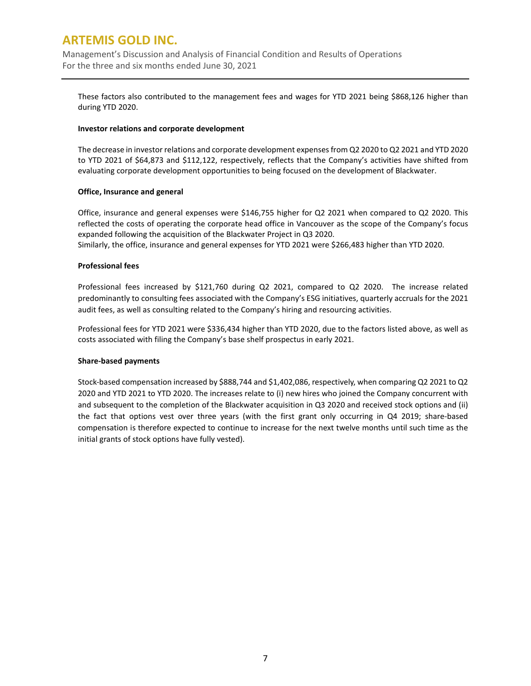Management's Discussion and Analysis of Financial Condition and Results of Operations For the three and six months ended June 30, 2021

These factors also contributed to the management fees and wages for YTD 2021 being \$868,126 higher than during YTD 2020.

### **Investor relations and corporate development**

The decrease in investor relations and corporate development expenses from Q2 2020 to Q2 2021 and YTD 2020 to YTD 2021 of \$64,873 and \$112,122, respectively, reflects that the Company's activities have shifted from evaluating corporate development opportunities to being focused on the development of Blackwater.

### **Office, Insurance and general**

Office, insurance and general expenses were \$146,755 higher for Q2 2021 when compared to Q2 2020. This reflected the costs of operating the corporate head office in Vancouver as the scope of the Company's focus expanded following the acquisition of the Blackwater Project in Q3 2020.

Similarly, the office, insurance and general expenses for YTD 2021 were \$266,483 higher than YTD 2020.

### **Professional fees**

Professional fees increased by \$121,760 during Q2 2021, compared to Q2 2020. The increase related predominantly to consulting fees associated with the Company's ESG initiatives, quarterly accruals for the 2021 audit fees, as well as consulting related to the Company's hiring and resourcing activities.

Professional fees for YTD 2021 were \$336,434 higher than YTD 2020, due to the factors listed above, as well as costs associated with filing the Company's base shelf prospectus in early 2021.

### **Share-based payments**

Stock-based compensation increased by \$888,744 and \$1,402,086, respectively, when comparing Q2 2021 to Q2 2020 and YTD 2021 to YTD 2020. The increases relate to (i) new hires who joined the Company concurrent with and subsequent to the completion of the Blackwater acquisition in Q3 2020 and received stock options and (ii) the fact that options vest over three years (with the first grant only occurring in Q4 2019; share-based compensation is therefore expected to continue to increase for the next twelve months until such time as the initial grants of stock options have fully vested).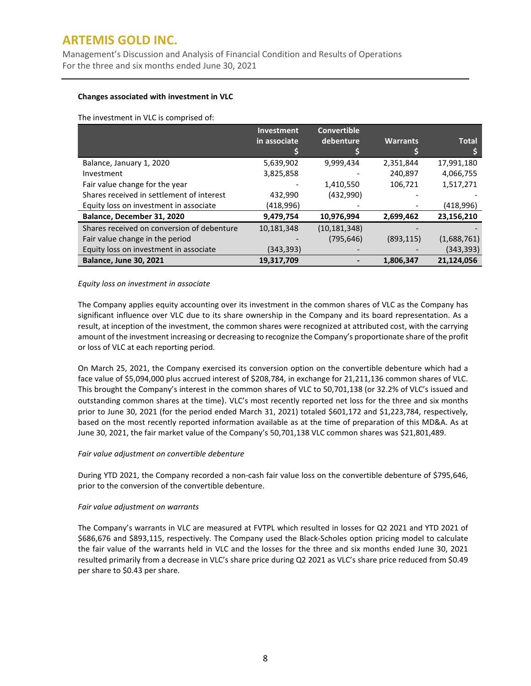Management's Discussion and Analysis of Financial Condition and Results of Operations For the three and six months ended June 30, 2021

### **Changes associated with investment in VLC**

The investment in VLC is comprised of:

|                                            | <b>Investment</b> | <b>Convertible</b> |                 |              |
|--------------------------------------------|-------------------|--------------------|-----------------|--------------|
|                                            | in associate      | debenture          | <b>Warrants</b> | <b>Total</b> |
|                                            |                   |                    |                 |              |
| Balance, January 1, 2020                   | 5,639,902         | 9,999,434          | 2,351,844       | 17,991,180   |
| Investment                                 | 3,825,858         |                    | 240,897         | 4,066,755    |
| Fair value change for the year             |                   | 1,410,550          | 106,721         | 1,517,271    |
| Shares received in settlement of interest  | 432,990           | (432,990)          |                 |              |
| Equity loss on investment in associate     | (418,996)         |                    |                 | (418,996)    |
| Balance, December 31, 2020                 | 9,479,754         | 10,976,994         | 2,699,462       | 23,156,210   |
| Shares received on conversion of debenture | 10,181,348        | (10, 181, 348)     |                 |              |
| Fair value change in the period            |                   | (795, 646)         | (893, 115)      | (1,688,761)  |
| Equity loss on investment in associate     | (343,393)         |                    |                 | (343, 393)   |
| <b>Balance, June 30, 2021</b>              | 19,317,709        |                    | 1,806,347       | 21,124,056   |

## *Equity loss on investment in associate*

The Company applies equity accounting over its investment in the common shares of VLC as the Company has significant influence over VLC due to its share ownership in the Company and its board representation. As a result, at inception of the investment, the common shares were recognized at attributed cost, with the carrying amount of the investment increasing or decreasing to recognize the Company's proportionate share of the profit or loss of VLC at each reporting period.

On March 25, 2021, the Company exercised its conversion option on the convertible debenture which had a face value of \$5,094,000 plus accrued interest of \$208,784, in exchange for 21,211,136 common shares of VLC. This brought the Company's interest in the common shares of VLC to 50,701,138 (or 32.2% of VLC's issued and outstanding common shares at the time). VLC's most recently reported net loss for the three and six months prior to June 30, 2021 (for the period ended March 31, 2021) totaled \$601,172 and \$1,223,784, respectively, based on the most recently reported information available as at the time of preparation of this MD&A. As at June 30, 2021, the fair market value of the Company's 50,701,138 VLC common shares was \$21,801,489.

### *Fair value adjustment on convertible debenture*

During YTD 2021, the Company recorded a non-cash fair value loss on the convertible debenture of \$795,646, prior to the conversion of the convertible debenture.

### *Fair value adjustment on warrants*

The Company's warrants in VLC are measured at FVTPL which resulted in losses for Q2 2021 and YTD 2021 of \$686,676 and \$893,115, respectively. The Company used the Black-Scholes option pricing model to calculate the fair value of the warrants held in VLC and the losses for the three and six months ended June 30, 2021 resulted primarily from a decrease in VLC's share price during Q2 2021 as VLC's share price reduced from \$0.49 per share to \$0.43 per share.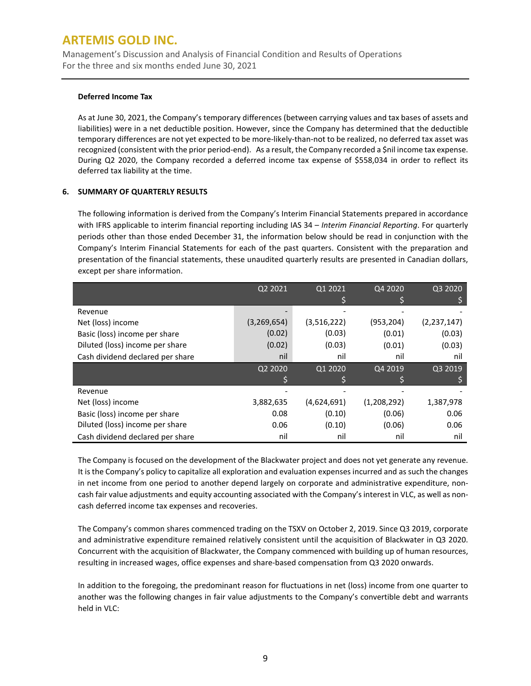Management's Discussion and Analysis of Financial Condition and Results of Operations For the three and six months ended June 30, 2021

### **Deferred Income Tax**

As at June 30, 2021, the Company's temporary differences (between carrying values and tax bases of assets and liabilities) were in a net deductible position. However, since the Company has determined that the deductible temporary differences are not yet expected to be more-likely-than-not to be realized, no deferred tax asset was recognized (consistent with the prior period-end). As a result, the Company recorded a \$nil income tax expense. During Q2 2020, the Company recorded a deferred income tax expense of \$558,034 in order to reflect its deferred tax liability at the time.

## **6. SUMMARY OF QUARTERLY RESULTS**

The following information is derived from the Company's Interim Financial Statements prepared in accordance with IFRS applicable to interim financial reporting including IAS 34 – *Interim Financial Reporting*. For quarterly periods other than those ended December 31, the information below should be read in conjunction with the Company's Interim Financial Statements for each of the past quarters. Consistent with the preparation and presentation of the financial statements, these unaudited quarterly results are presented in Canadian dollars, except per share information.

|                                  | Q2 2021     | Q1 2021     | Q4 2020     | Q3 2020       |
|----------------------------------|-------------|-------------|-------------|---------------|
|                                  |             |             |             |               |
| Revenue                          |             |             |             |               |
| Net (loss) income                | (3,269,654) | (3,516,222) | (953,204)   | (2, 237, 147) |
| Basic (loss) income per share    | (0.02)      | (0.03)      | (0.01)      | (0.03)        |
| Diluted (loss) income per share  | (0.02)      | (0.03)      | (0.01)      | (0.03)        |
| Cash dividend declared per share | nil         | nil         | nil         | nil           |
|                                  | Q2 2020     | Q1 2020     | Q4 2019     | Q3 2019       |
|                                  |             |             |             |               |
| Revenue                          |             |             |             |               |
| Net (loss) income                | 3,882,635   | (4,624,691) | (1,208,292) | 1,387,978     |
| Basic (loss) income per share    | 0.08        | (0.10)      | (0.06)      | 0.06          |
| Diluted (loss) income per share  | 0.06        | (0.10)      | (0.06)      | 0.06          |
| Cash dividend declared per share | nil         | nil         | nil         | nil           |

The Company is focused on the development of the Blackwater project and does not yet generate any revenue. It is the Company's policy to capitalize all exploration and evaluation expenses incurred and as such the changes in net income from one period to another depend largely on corporate and administrative expenditure, noncash fair value adjustments and equity accounting associated with the Company's interest in VLC, as well as noncash deferred income tax expenses and recoveries.

The Company's common shares commenced trading on the TSXV on October 2, 2019. Since Q3 2019, corporate and administrative expenditure remained relatively consistent until the acquisition of Blackwater in Q3 2020. Concurrent with the acquisition of Blackwater, the Company commenced with building up of human resources, resulting in increased wages, office expenses and share-based compensation from Q3 2020 onwards.

In addition to the foregoing, the predominant reason for fluctuations in net (loss) income from one quarter to another was the following changes in fair value adjustments to the Company's convertible debt and warrants held in VLC: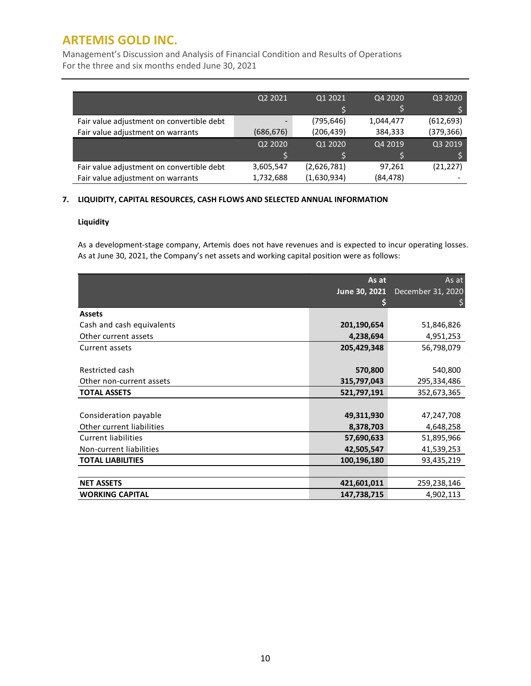Management's Discussion and Analysis of Financial Condition and Results of Operations For the three and six months ended June 30, 2021

|                                           | Q2 2021   | Q1 2021     | Q4 2020   | Q3 2020    |
|-------------------------------------------|-----------|-------------|-----------|------------|
|                                           |           |             |           |            |
| Fair value adjustment on convertible debt |           | (795,646)   | 1,044,477 | (612, 693) |
| Fair value adjustment on warrants         | (686,676) | (206, 439)  | 384,333   | (379, 366) |
|                                           | Q2 2020   | Q1 2020     | Q4 2019   | Q3 2019    |
|                                           |           |             |           |            |
| Fair value adjustment on convertible debt | 3,605,547 | (2,626,781) | 97,261    | (21, 227)  |
| Fair value adjustment on warrants         | 1,732,688 | (1,630,934) | (84, 478) |            |

## **7. LIQUIDITY, CAPITAL RESOURCES, CASH FLOWS AND SELECTED ANNUAL INFORMATION**

### **Liquidity**

As a development-stage company, Artemis does not have revenues and is expected to incur operating losses. As at June 30, 2021, the Company's net assets and working capital position were as follows:

|                            | As at<br>June 30, 2021 | As at<br>December 31, 2020 |
|----------------------------|------------------------|----------------------------|
|                            |                        |                            |
| <b>Assets</b>              |                        |                            |
| Cash and cash equivalents  | 201,190,654            | 51,846,826                 |
| Other current assets       | 4,238,694              | 4,951,253                  |
| Current assets             | 205,429,348            | 56,798,079                 |
|                            |                        |                            |
| Restricted cash            | 570,800                | 540,800                    |
| Other non-current assets   | 315,797,043            | 295,334,486                |
| <b>TOTAL ASSETS</b>        | 521,797,191            | 352,673,365                |
|                            |                        |                            |
| Consideration payable      | 49,311,930             | 47,247,708                 |
| Other current liabilities  | 8,378,703              | 4,648,258                  |
| <b>Current liabilities</b> | 57,690,633             | 51,895,966                 |
| Non-current liabilities    | 42,505,547             | 41,539,253                 |
| <b>TOTAL LIABILITIES</b>   | 100,196,180            | 93,435,219                 |
|                            |                        |                            |
| <b>NET ASSETS</b>          | 421,601,011            | 259,238,146                |
| <b>WORKING CAPITAL</b>     | 147,738,715            | 4,902,113                  |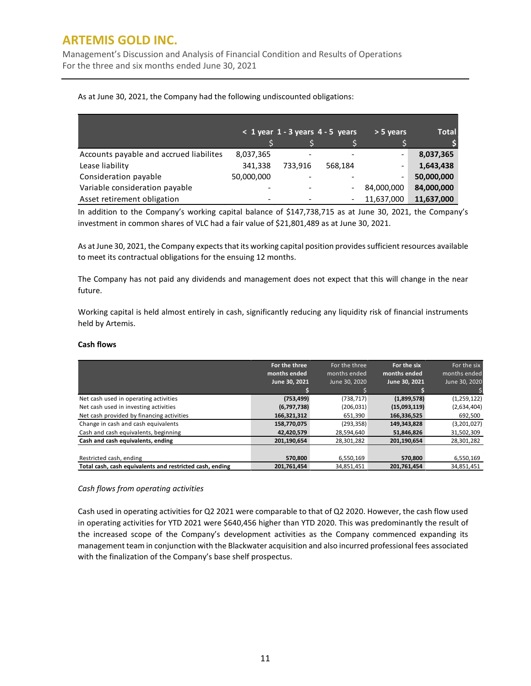Management's Discussion and Analysis of Financial Condition and Results of Operations For the three and six months ended June 30, 2021

|                                         |            |         | $<$ 1 year 1 - 3 years 4 - 5 years | > 5 years                | <b>Total</b> |
|-----------------------------------------|------------|---------|------------------------------------|--------------------------|--------------|
|                                         |            |         |                                    |                          |              |
| Accounts payable and accrued liabilites | 8,037,365  |         |                                    | $\overline{\phantom{0}}$ | 8,037,365    |
| Lease liability                         | 341,338    | 733.916 | 568.184                            | $\overline{\phantom{0}}$ | 1,643,438    |
| Consideration payable                   | 50,000,000 |         |                                    | $\overline{\phantom{0}}$ | 50,000,000   |
| Variable consideration payable          |            |         |                                    | 84,000,000               | 84,000,000   |
| Asset retirement obligation             |            |         |                                    | 11,637,000               | 11,637,000   |

As at June 30, 2021, the Company had the following undiscounted obligations:

In addition to the Company's working capital balance of \$147,738,715 as at June 30, 2021, the Company's investment in common shares of VLC had a fair value of \$21,801,489 as at June 30, 2021.

As at June 30, 2021, the Company expects that its working capital position providessufficient resources available to meet its contractual obligations for the ensuing 12 months.

The Company has not paid any dividends and management does not expect that this will change in the near future.

Working capital is held almost entirely in cash, significantly reducing any liquidity risk of financial instruments held by Artemis.

### **Cash flows**

|                                                          | For the three | For the three | For the six   | For the six   |
|----------------------------------------------------------|---------------|---------------|---------------|---------------|
|                                                          | months ended  | months ended  | months ended  | months ended  |
|                                                          | June 30, 2021 | June 30, 2020 | June 30, 2021 | June 30, 2020 |
|                                                          |               |               |               |               |
| Net cash used in operating activities                    | (753, 499)    | (738, 717)    | (1,899,578)   | (1,259,122)   |
| Net cash used in investing activities                    | (6,797,738)   | (206, 031)    | (15,093,119)  | (2,634,404)   |
| Net cash provided by financing activities                | 166,321,312   | 651,390       | 166,336,525   | 692,500       |
| Change in cash and cash equivalents                      | 158,770,075   | (293, 358)    | 149,343,828   | (3,201,027)   |
| Cash and cash equivalents, beginning                     | 42,420,579    | 28,594,640    | 51,846,826    | 31,502,309    |
| Cash and cash equivalents, ending                        | 201,190,654   | 28,301,282    | 201,190,654   | 28,301,282    |
|                                                          |               |               |               |               |
| Restricted cash, ending                                  | 570,800       | 6,550,169     | 570,800       | 6,550,169     |
| Total cash, cash equivalents and restricted cash, ending | 201.761.454   | 34.851.451    | 201.761.454   | 34,851,451    |

### *Cash flows from operating activities*

Cash used in operating activities for Q2 2021 were comparable to that of Q2 2020. However, the cash flow used in operating activities for YTD 2021 were \$640,456 higher than YTD 2020. This was predominantly the result of the increased scope of the Company's development activities as the Company commenced expanding its management team in conjunction with the Blackwater acquisition and also incurred professional fees associated with the finalization of the Company's base shelf prospectus.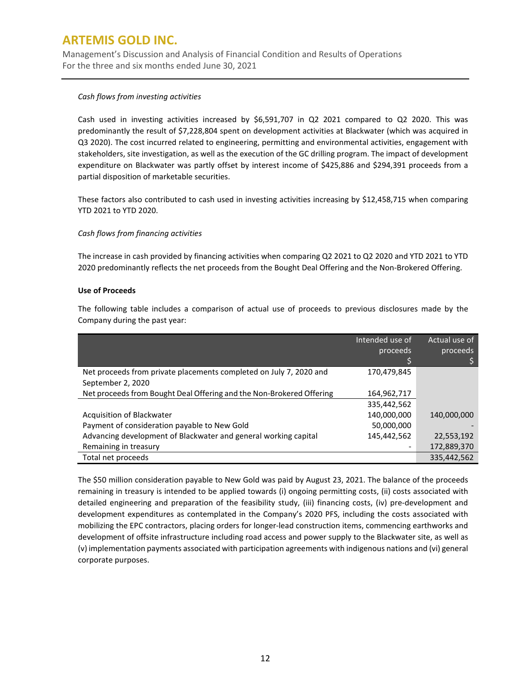Management's Discussion and Analysis of Financial Condition and Results of Operations For the three and six months ended June 30, 2021

### *Cash flows from investing activities*

Cash used in investing activities increased by \$6,591,707 in Q2 2021 compared to Q2 2020. This was predominantly the result of \$7,228,804 spent on development activities at Blackwater (which was acquired in Q3 2020). The cost incurred related to engineering, permitting and environmental activities, engagement with stakeholders, site investigation, as well as the execution of the GC drilling program. The impact of development expenditure on Blackwater was partly offset by interest income of \$425,886 and \$294,391 proceeds from a partial disposition of marketable securities.

These factors also contributed to cash used in investing activities increasing by \$12,458,715 when comparing YTD 2021 to YTD 2020.

## *Cash flows from financing activities*

The increase in cash provided by financing activities when comparing Q2 2021 to Q2 2020 and YTD 2021 to YTD 2020 predominantly reflects the net proceeds from the Bought Deal Offering and the Non-Brokered Offering.

## **Use of Proceeds**

The following table includes a comparison of actual use of proceeds to previous disclosures made by the Company during the past year:

|                                                                      | Intended use of | Actual use of |
|----------------------------------------------------------------------|-----------------|---------------|
|                                                                      | proceeds        | proceeds      |
|                                                                      |                 |               |
| Net proceeds from private placements completed on July 7, 2020 and   | 170,479,845     |               |
| September 2, 2020                                                    |                 |               |
| Net proceeds from Bought Deal Offering and the Non-Brokered Offering | 164,962,717     |               |
|                                                                      | 335,442,562     |               |
| Acquisition of Blackwater                                            | 140,000,000     | 140.000.000   |
| Payment of consideration payable to New Gold                         | 50,000,000      |               |
| Advancing development of Blackwater and general working capital      | 145,442,562     | 22,553,192    |
| Remaining in treasury                                                |                 | 172,889,370   |
| Total net proceeds                                                   |                 | 335,442,562   |

The \$50 million consideration payable to New Gold was paid by August 23, 2021. The balance of the proceeds remaining in treasury is intended to be applied towards (i) ongoing permitting costs, (ii) costs associated with detailed engineering and preparation of the feasibility study, (iii) financing costs, (iv) pre-development and development expenditures as contemplated in the Company's 2020 PFS, including the costs associated with mobilizing the EPC contractors, placing orders for longer-lead construction items, commencing earthworks and development of offsite infrastructure including road access and power supply to the Blackwater site, as well as (v) implementation payments associated with participation agreements with indigenous nations and (vi) general corporate purposes.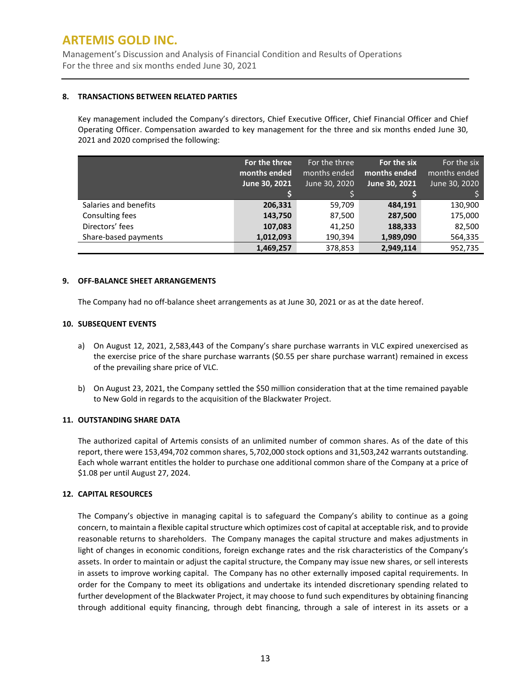Management's Discussion and Analysis of Financial Condition and Results of Operations For the three and six months ended June 30, 2021

### **8. TRANSACTIONS BETWEEN RELATED PARTIES**

Key management included the Company's directors, Chief Executive Officer, Chief Financial Officer and Chief Operating Officer. Compensation awarded to key management for the three and six months ended June 30, 2021 and 2020 comprised the following:

|                       | For the three | For the three | For the six   | For the six   |
|-----------------------|---------------|---------------|---------------|---------------|
|                       | months ended  | months ended  | months ended  | months ended  |
|                       | June 30, 2021 | June 30, 2020 | June 30, 2021 | June 30, 2020 |
|                       |               |               |               |               |
| Salaries and benefits | 206,331       | 59,709        | 484,191       | 130,900       |
| Consulting fees       | 143,750       | 87,500        | 287,500       | 175,000       |
| Directors' fees       | 107,083       | 41,250        | 188,333       | 82,500        |
| Share-based payments  | 1,012,093     | 190,394       | 1,989,090     | 564,335       |
|                       | 1,469,257     | 378,853       | 2,949,114     | 952,735       |

## **9. OFF-BALANCE SHEET ARRANGEMENTS**

The Company had no off-balance sheet arrangements as at June 30, 2021 or as at the date hereof.

## **10. SUBSEQUENT EVENTS**

- a) On August 12, 2021, 2,583,443 of the Company's share purchase warrants in VLC expired unexercised as the exercise price of the share purchase warrants (\$0.55 per share purchase warrant) remained in excess of the prevailing share price of VLC.
- b) On August 23, 2021, the Company settled the \$50 million consideration that at the time remained payable to New Gold in regards to the acquisition of the Blackwater Project.

## **11. OUTSTANDING SHARE DATA**

The authorized capital of Artemis consists of an unlimited number of common shares. As of the date of this report, there were 153,494,702 common shares, 5,702,000 stock options and 31,503,242 warrants outstanding. Each whole warrant entitles the holder to purchase one additional common share of the Company at a price of \$1.08 per until August 27, 2024.

## **12. CAPITAL RESOURCES**

The Company's objective in managing capital is to safeguard the Company's ability to continue as a going concern, to maintain a flexible capital structure which optimizes cost of capital at acceptable risk, and to provide reasonable returns to shareholders. The Company manages the capital structure and makes adjustments in light of changes in economic conditions, foreign exchange rates and the risk characteristics of the Company's assets. In order to maintain or adjust the capital structure, the Company may issue new shares, or sell interests in assets to improve working capital. The Company has no other externally imposed capital requirements. In order for the Company to meet its obligations and undertake its intended discretionary spending related to further development of the Blackwater Project, it may choose to fund such expenditures by obtaining financing through additional equity financing, through debt financing, through a sale of interest in its assets or a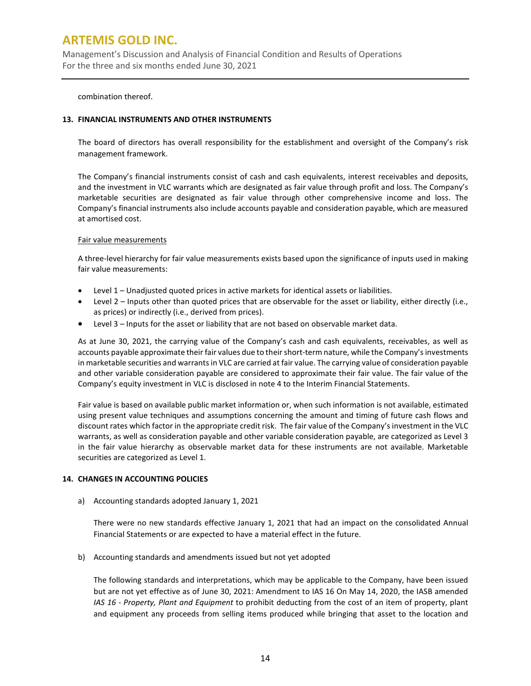Management's Discussion and Analysis of Financial Condition and Results of Operations For the three and six months ended June 30, 2021

combination thereof.

### **13. FINANCIAL INSTRUMENTS AND OTHER INSTRUMENTS**

The board of directors has overall responsibility for the establishment and oversight of the Company's risk management framework.

The Company's financial instruments consist of cash and cash equivalents, interest receivables and deposits, and the investment in VLC warrants which are designated as fair value through profit and loss. The Company's marketable securities are designated as fair value through other comprehensive income and loss. The Company's financial instruments also include accounts payable and consideration payable, which are measured at amortised cost.

### Fair value measurements

A three-level hierarchy for fair value measurements exists based upon the significance of inputs used in making fair value measurements:

- Level 1 Unadjusted quoted prices in active markets for identical assets or liabilities.
- Level 2 Inputs other than quoted prices that are observable for the asset or liability, either directly (i.e., as prices) or indirectly (i.e., derived from prices).
- Level 3 Inputs for the asset or liability that are not based on observable market data.

As at June 30, 2021, the carrying value of the Company's cash and cash equivalents, receivables, as well as accounts payable approximate their fair values due to their short-term nature, while the Company'sinvestments in marketable securities and warrants in VLC are carried at fair value. The carrying value of consideration payable and other variable consideration payable are considered to approximate their fair value. The fair value of the Company's equity investment in VLC is disclosed in note 4 to the Interim Financial Statements.

Fair value is based on available public market information or, when such information is not available, estimated using present value techniques and assumptions concerning the amount and timing of future cash flows and discount rates which factor in the appropriate credit risk. The fair value of the Company's investment in the VLC warrants, as well as consideration payable and other variable consideration payable, are categorized as Level 3 in the fair value hierarchy as observable market data for these instruments are not available. Marketable securities are categorized as Level 1.

## **14. CHANGES IN ACCOUNTING POLICIES**

a) Accounting standards adopted January 1, 2021

There were no new standards effective January 1, 2021 that had an impact on the consolidated Annual Financial Statements or are expected to have a material effect in the future.

b) Accounting standards and amendments issued but not yet adopted

The following standards and interpretations, which may be applicable to the Company, have been issued but are not yet effective as of June 30, 2021: Amendment to IAS 16 On May 14, 2020, the IASB amended *IAS 16 - Property, Plant and Equipment* to prohibit deducting from the cost of an item of property, plant and equipment any proceeds from selling items produced while bringing that asset to the location and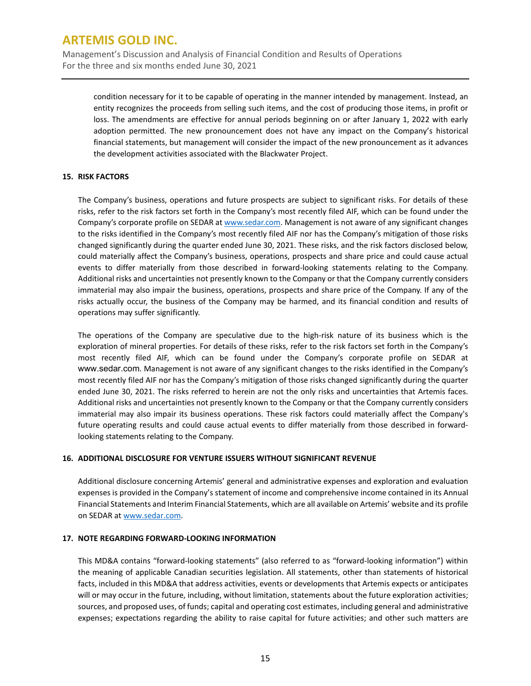Management's Discussion and Analysis of Financial Condition and Results of Operations For the three and six months ended June 30, 2021

condition necessary for it to be capable of operating in the manner intended by management. Instead, an entity recognizes the proceeds from selling such items, and the cost of producing those items, in profit or loss. The amendments are effective for annual periods beginning on or after January 1, 2022 with early adoption permitted. The new pronouncement does not have any impact on the Company's historical financial statements, but management will consider the impact of the new pronouncement as it advances the development activities associated with the Blackwater Project.

## **15. RISK FACTORS**

The Company's business, operations and future prospects are subject to significant risks. For details of these risks, refer to the risk factors set forth in the Company's most recently filed AIF, which can be found under the Company's corporate profile on SEDAR at [www.sedar.com.](http://www.sedar.com/) Management is not aware of any significant changes to the risks identified in the Company's most recently filed AIF nor has the Company's mitigation of those risks changed significantly during the quarter ended June 30, 2021. These risks, and the risk factors disclosed below, could materially affect the Company's business, operations, prospects and share price and could cause actual events to differ materially from those described in forward-looking statements relating to the Company. Additional risks and uncertainties not presently known to the Company or that the Company currently considers immaterial may also impair the business, operations, prospects and share price of the Company. If any of the risks actually occur, the business of the Company may be harmed, and its financial condition and results of operations may suffer significantly.

The operations of the Company are speculative due to the high-risk nature of its business which is the exploration of mineral properties. For details of these risks, refer to the risk factors set forth in the Company's most recently filed AIF, which can be found under the Company's corporate profile on SEDAR at [www.sedar.com](http://www.sedar.com/). Management is not aware of any significant changes to the risks identified in the Company's most recently filed AIF nor has the Company's mitigation of those risks changed significantly during the quarter ended June 30, 2021. The risks referred to herein are not the only risks and uncertainties that Artemis faces. Additional risks and uncertainties not presently known to the Company or that the Company currently considers immaterial may also impair its business operations. These risk factors could materially affect the Company's future operating results and could cause actual events to differ materially from those described in forwardlooking statements relating to the Company.

## **16. ADDITIONAL DISCLOSURE FOR VENTURE ISSUERS WITHOUT SIGNIFICANT REVENUE**

Additional disclosure concerning Artemis' general and administrative expenses and exploration and evaluation expenses is provided in the Company's statement of income and comprehensive income contained in its Annual Financial Statements and Interim Financial Statements, which are all available on Artemis' website and its profile on SEDAR a[t www.sedar.com.](http://www.sedar.com/)

## **17. NOTE REGARDING FORWARD-LOOKING INFORMATION**

This MD&A contains "forward-looking statements" (also referred to as "forward-looking information") within the meaning of applicable Canadian securities legislation. All statements, other than statements of historical facts, included in this MD&A that address activities, events or developments that Artemis expects or anticipates will or may occur in the future, including, without limitation, statements about the future exploration activities; sources, and proposed uses, of funds; capital and operating cost estimates, including general and administrative expenses; expectations regarding the ability to raise capital for future activities; and other such matters are